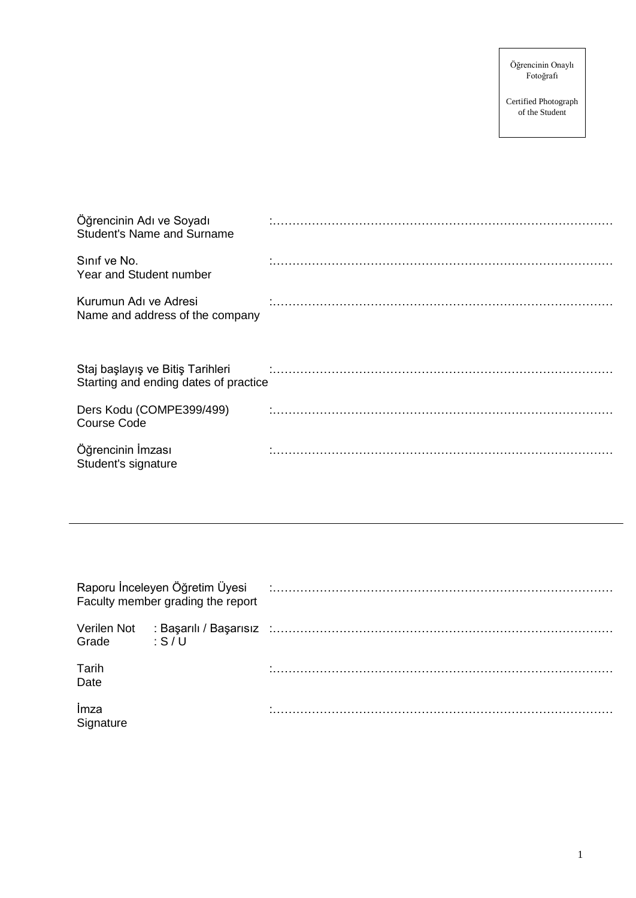Certified Photograph of the Student

| Öğrencinin Adı ve Soyadı<br><b>Student's Name and Surname</b>             |  |
|---------------------------------------------------------------------------|--|
| Sinif ve No.<br>Year and Student number                                   |  |
| Kurumun Adı ve Adresi<br>Name and address of the company                  |  |
| Staj başlayış ve Bitiş Tarihleri<br>Starting and ending dates of practice |  |
| Ders Kodu (COMPE399/499)<br><b>Course Code</b>                            |  |
| Öğrencinin İmzası<br>Student's signature                                  |  |

|                      | Raporu İnceleyen Öğretim Üyesi<br>Faculty member grading the report |                                                      |
|----------------------|---------------------------------------------------------------------|------------------------------------------------------|
| Verilen Not<br>Grade | : S/U                                                               | :Başarılı / Başarısız :…………………………………………………………………………… |
| Tarih<br>Date        |                                                                     |                                                      |
| Imza<br>Signature    |                                                                     |                                                      |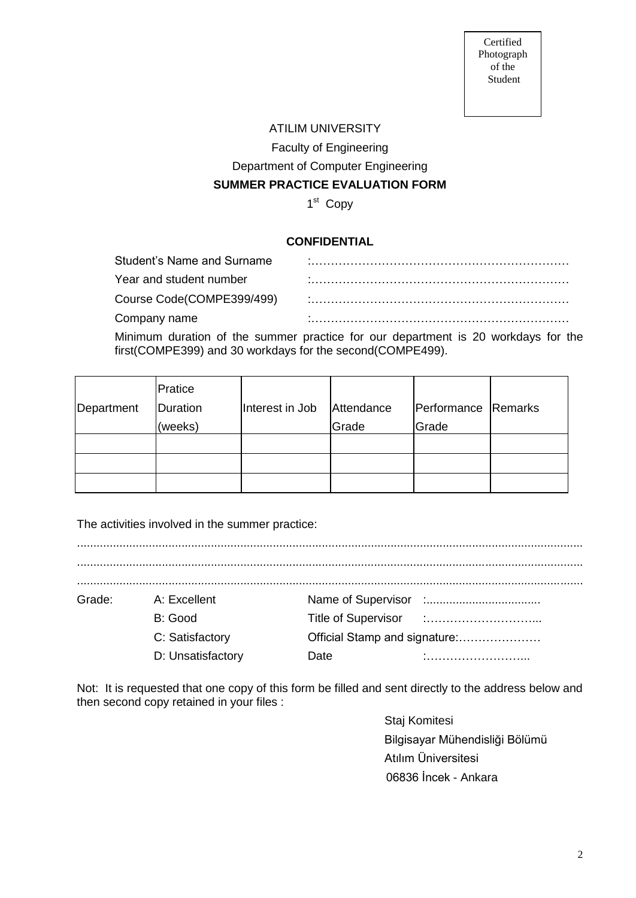Certified Photograph of the Student

## ATILIM UNIVERSITY

Faculty of Engineering

Department of Computer Engineering

## **SUMMER PRACTICE EVALUATION FORM**

1<sup>st</sup> Copy

# **CONFIDENTIAL**

| Student's Name and Surname |  |
|----------------------------|--|
| Year and student number    |  |
| Course Code(COMPE399/499)  |  |
| Company name               |  |
|                            |  |

Minimum duration of the summer practice for our department is 20 workdays for the first(COMPE399) and 30 workdays for the second(COMPE499).

|            | Pratice  |                 |            |                     |  |
|------------|----------|-----------------|------------|---------------------|--|
| Department | Duration | Interest in Job | Attendance | Performance Remarks |  |
|            | (weeks)  |                 | Grade      | Grade               |  |
|            |          |                 |            |                     |  |
|            |          |                 |            |                     |  |
|            |          |                 |            |                     |  |

The activities involved in the summer practice:

| Grade: | A: Excellent      |                               |  |  |
|--------|-------------------|-------------------------------|--|--|
|        | B: Good           |                               |  |  |
|        | C: Satisfactory   | Official Stamp and signature: |  |  |
|        | D: Unsatisfactory | Date                          |  |  |
|        |                   |                               |  |  |

Not: It is requested that one copy of this form be filled and sent directly to the address below and then second copy retained in your files :

> Staj Komitesi Bilgisayar Mühendisliği Bölümü Atılım Üniversitesi 06836 İncek - Ankara